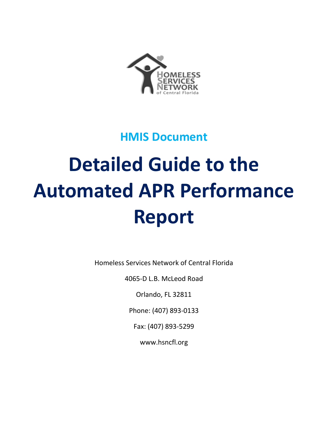

**HMIS Document**

# **Detailed Guide to the Automated APR Performance Report**

Homeless Services Network of Central Florida

4065-D L.B. McLeod Road

Orlando, FL 32811

Phone: (407) 893-0133

Fax: (407) 893-5299

www.hsncfl.org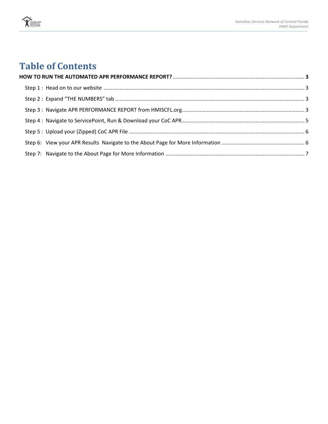

# **Table of Contents**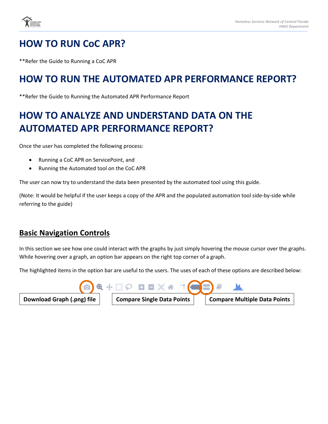

# **HOW TO RUN CoC APR?**

\*\*Refer the Guide to Running a CoC APR

## **HOW TO RUN THE AUTOMATED APR PERFORMANCE REPORT?**

\*\*Refer the Guide to Running the Automated APR Performance Report

# **HOW TO ANALYZE AND UNDERSTAND DATA ON THE AUTOMATED APR PERFORMANCE REPORT?**

Once the user has completed the following process:

- Running a CoC APR on ServicePoint, and
- Running the Automated tool on the CoC APR

The user can now try to understand the data been presented by the automated tool using this guide.

(Note: It would be helpful if the user keeps a copy of the APR and the populated automation tool side-by-side while referring to the guide)

#### **Basic Navigation Controls**

In this section we see how one could interact with the graphs by just simply hovering the mouse cursor over the graphs. While hovering over a graph, an option bar appears on the right top corner of a graph.

The highlighted items in the option bar are useful to the users. The uses of each of these options are described below:

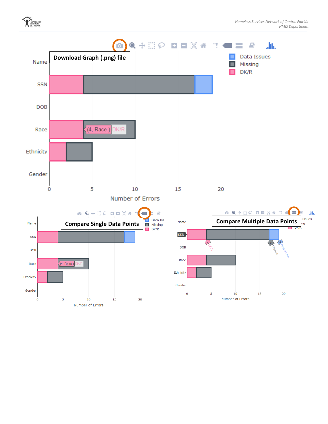

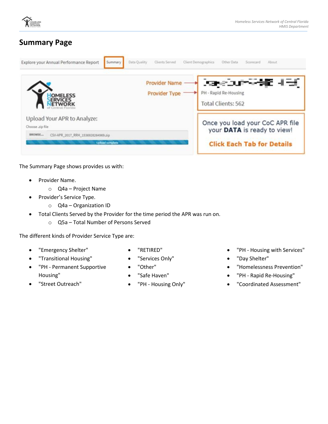

#### **Summary Page**

| Explore your Annual Performance Report<br>Summary                             | Data Quality<br>Clients Served        | Client Demographics<br>Other Data<br>Scorecard<br>About                                |  |  |  |
|-------------------------------------------------------------------------------|---------------------------------------|----------------------------------------------------------------------------------------|--|--|--|
| <b>OMELESS</b>                                                                | <b>Provider Name</b><br>Provider Type | ਨਿਸ਼ਟਰਪਾ <sup>ਰ</sup> ਅਤੇ ਪਹਿੰਦੀ<br>PH - Rapid Re-Housing<br><b>Total Clients: 562</b> |  |  |  |
| Upload Your APR to Analyze:<br>Choose .zip file                               |                                       | Once you load your CoC APR file<br>your DATA is ready to view!                         |  |  |  |
| <b>BROWSE</b><br>CSV-APR_2017_RRH_1536928264969.zip<br><b>Uploed complete</b> |                                       | <b>Click Each Tab for Details</b>                                                      |  |  |  |

The Summary Page shows provides us with:

- Provider Name.
	- o Q4a Project Name
- Provider's Service Type.
	- o Q4a Organization ID
- Total Clients Served by the Provider for the time period the APR was run on.
	- o Q5a Total Number of Persons Served

The different kinds of Provider Service Type are:

- "Emergency Shelter"
- "Transitional Housing"
- "PH Permanent Supportive Housing"
- "RETIRED"
- "Services Only"
- "Other"
- "Safe Haven"
- "PH Housing Only"
- "PH Housing with Services"
- "Day Shelter"
- "Homelessness Prevention"
- "PH Rapid Re-Housing"
- "Coordinated Assessment"

"Street Outreach"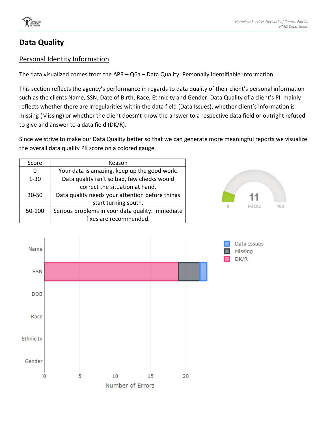

#### **Data Quality**

Name

**SSN** 

**DOB** 

Race

Ethnicity

Gender

0

#### Personal Identity Information

The data visualized comes from the APR – Q6a – Data Quality: Personally Identifiable Information

This section reflects the agency's performance in regards to data quality of their client's personal information such as the clients Name, SSN, Date of Birth, Race, Ethnicity and Gender. Data Quality of a client's PII mainly reflects whether there are irregularities within the data field (Data Issues), whether client's information is missing (Missing) or whether the client doesn't know the answer to a respective data field or outright refused to give and answer to a data field (DK/R).

Since we strive to make our Data Quality better so that we can generate more meaningful reports we visualize the overall data quality PII score on a colored gauge.

| Score     | Reason                                           |
|-----------|--------------------------------------------------|
|           | Your data is amazing, keep up the good work.     |
| $1 - 30$  | Data quality isn't so bad, few checks would      |
|           | correct the situation at hand.                   |
| $30 - 50$ | Data quality needs your attention before things  |
|           | start turning south.                             |
| 50-100    | Serious problems in your data quality. Immediate |
|           | fixes are recommended.                           |



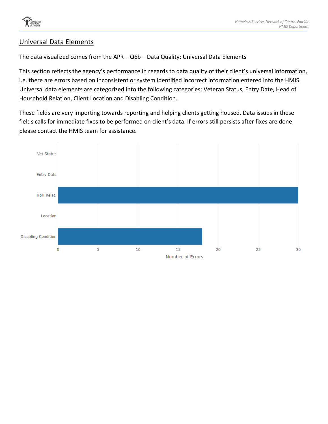

#### Universal Data Elements

The data visualized comes from the APR – Q6b – Data Quality: Universal Data Elements

This section reflects the agency's performance in regards to data quality of their client's universal information, i.e. there are errors based on inconsistent or system identified incorrect information entered into the HMIS. Universal data elements are categorized into the following categories: Veteran Status, Entry Date, Head of Household Relation, Client Location and Disabling Condition.

These fields are very importing towards reporting and helping clients getting housed. Data issues in these fields calls for immediate fixes to be performed on client's data. If errors still persists after fixes are done, please contact the HMIS team for assistance.

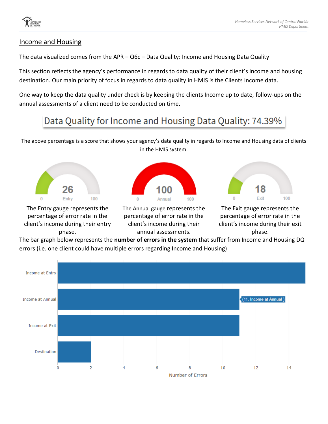

#### Income and Housing

The data visualized comes from the APR – Q6c – Data Quality: Income and Housing Data Quality

This section reflects the agency's performance in regards to data quality of their client's income and housing destination. Our main priority of focus in regards to data quality in HMIS is the Clients Income data.

One way to keep the data quality under check is by keeping the clients Income up to date, follow-ups on the annual assessments of a client need to be conducted on time.

# Data Quality for Income and Housing Data Quality: 74.39%

The above percentage is a score that shows your agency's data quality in regards to Income and Housing data of clients in the HMIS system.



The Entry gauge represents the percentage of error rate in the client's income during their entry phase.



The Annual gauge represents the percentage of error rate in the client's income during their annual assessments.



The Exit gauge represents the percentage of error rate in the client's income during their exit phase.

The bar graph below represents the **number of errors in the system** that suffer from Income and Housing DQ errors (i.e. one client could have multiple errors regarding Income and Housing)

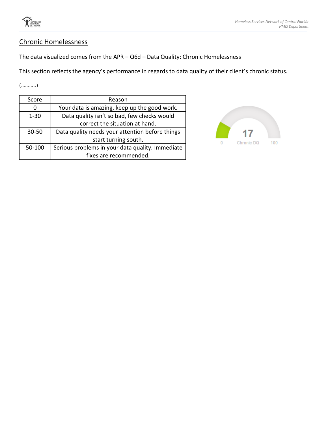

#### Chronic Homelessness

The data visualized comes from the APR – Q6d – Data Quality: Chronic Homelessness

This section reflects the agency's performance in regards to data quality of their client's chronic status.

(………..)

| Score     | Reason                                           |
|-----------|--------------------------------------------------|
|           | Your data is amazing, keep up the good work.     |
| $1 - 30$  | Data quality isn't so bad, few checks would      |
|           | correct the situation at hand.                   |
| $30 - 50$ | Data quality needs your attention before things  |
|           | start turning south.                             |
| 50-100    | Serious problems in your data quality. Immediate |
|           | fixes are recommended.                           |

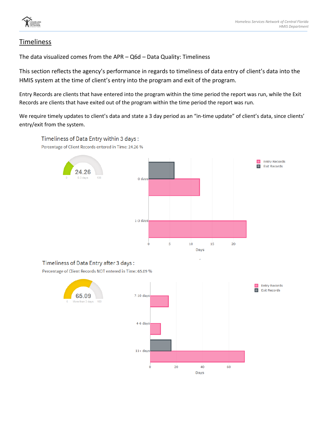#### Timeliness

The data visualized comes from the APR – Q6d – Data Quality: Timeliness

This section reflects the agency's performance in regards to timeliness of data entry of client's data into the HMIS system at the time of client's entry into the program and exit of the program.

Entry Records are clients that have entered into the program within the time period the report was run, while the Exit Records are clients that have exited out of the program within the time period the report was run.

We require timely updates to client's data and state a 3 day period as an "in-time update" of client's data, since clients' entry/exit from the system.



#### Timeliness of Data Entry after 3 days:

Timeliness of Data Entry within 3 days:

Percentage of Client Records NOT entered in Time: 65.09 %

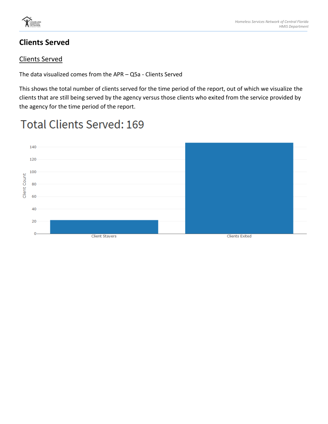

#### **Clients Served**

#### Clients Served

The data visualized comes from the APR – Q5a - Clients Served

This shows the total number of clients served for the time period of the report, out of which we visualize the clients that are still being served by the agency versus those clients who exited from the service provided by the agency for the time period of the report.

# **Total Clients Served: 169**

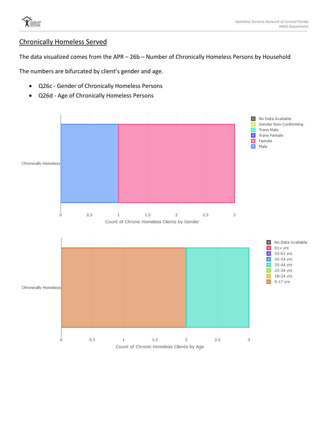

#### Chronically Homeless Served

The data visualized comes from the APR – 26b – Number of Chronically Homeless Persons by Household

The numbers are bifurcated by client's gender and age.

- Q26c Gender of Chronically Homeless Persons
- Q26d Age of Chronically Homeless Persons

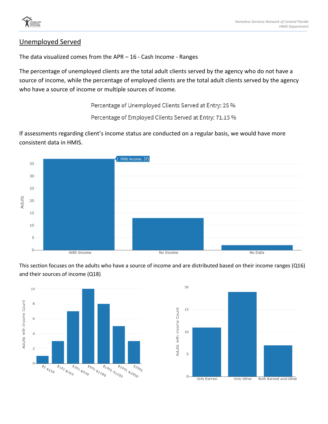#### Unemployed Served

The data visualized comes from the APR – 16 - Cash Income - Ranges

The percentage of unemployed clients are the total adult clients served by the agency who do not have a source of income, while the percentage of employed clients are the total adult clients served by the agency who have a source of income or multiple sources of income.

Percentage of Unemployed Clients Served at Entry: 25 %

Percentage of Employed Clients Served at Entry: 71.15 %

If assessments regarding client's income status are conducted on a regular basis, we would have more consistent data in HMIS.



This section focuses on the adults who have a source of income and are distributed based on their income ranges (Q16) and their sources of income (Q18)



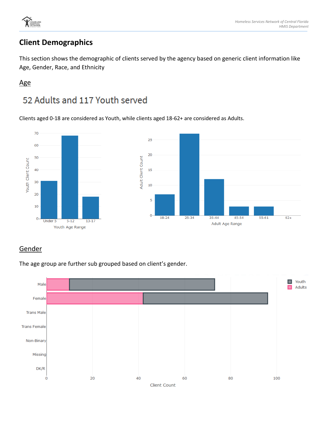

### **Client Demographics**

This section shows the demographic of clients served by the agency based on generic client information like Age, Gender, Race, and Ethnicity

#### Age

# 52 Adults and 117 Youth served

Clients aged 0-18 are considered as Youth, while clients aged 18-62+ are considered as Adults.



#### **Gender**

The age group are further sub grouped based on client's gender.

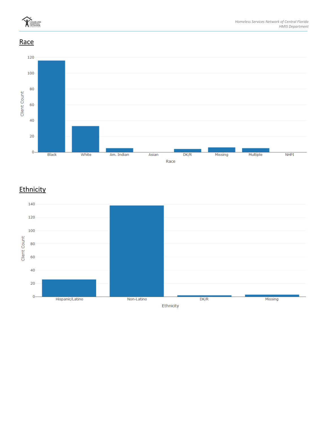

**Race** 



#### **Ethnicity**

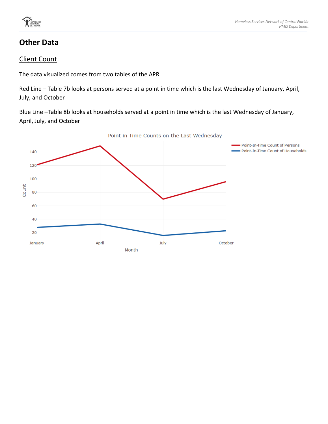

#### **Other Data**

#### Client Count

The data visualized comes from two tables of the APR

Red Line – Table 7b looks at persons served at a point in time which is the last Wednesday of January, April, July, and October

Blue Line –Table 8b looks at households served at a point in time which is the last Wednesday of January, April, July, and October

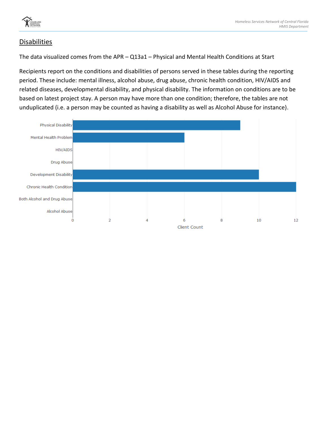

#### Disabilities

The data visualized comes from the APR – Q13a1 – Physical and Mental Health Conditions at Start

Recipients report on the conditions and disabilities of persons served in these tables during the reporting period. These include: mental illness, alcohol abuse, drug abuse, chronic health condition, HIV/AIDS and related diseases, developmental disability, and physical disability. The information on conditions are to be based on latest project stay. A person may have more than one condition; therefore, the tables are not unduplicated (i.e. a person may be counted as having a disability as well as Alcohol Abuse for instance).

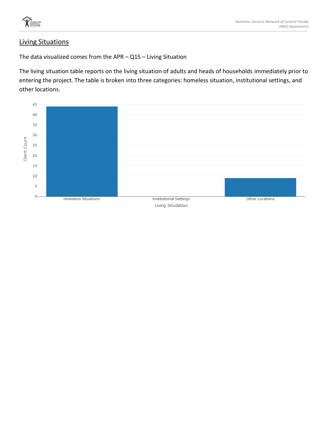

#### Living Situations

The data visualized comes from the APR – Q15 – Living Situation

The living situation table reports on the living situation of adults and heads of households immediately prior to entering the project. The table is broken into three categories: homeless situation, institutional settings, and other locations.

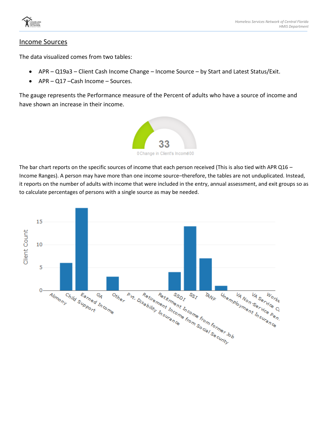

#### Income Sources

The data visualized comes from two tables:

- APR Q19a3 Client Cash Income Change Income Source by Start and Latest Status/Exit.
- APR Q17 Cash Income Sources.

The gauge represents the Performance measure of the Percent of adults who have a source of income and have shown an increase in their income.



The bar chart reports on the specific sources of income that each person received (This is also tied with APR Q16 – Income Ranges). A person may have more than one income source–therefore, the tables are not unduplicated. Instead, it reports on the number of adults with income that were included in the entry, annual assessment, and exit groups so as to calculate percentages of persons with a single source as may be needed.

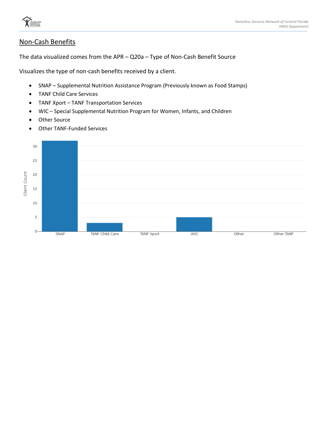

#### Non-Cash Benefits

The data visualized comes from the APR – Q20a – Type of Non-Cash Benefit Source

Visualizes the type of non-cash benefits received by a client.

- SNAP Supplemental Nutrition Assistance Program (Previously known as Food Stamps)
- TANF Child Care Services
- TANF Xport TANF Transportation Services
- WIC Special Supplemental Nutrition Program for Women, Infants, and Children
- Other Source
- Other TANF-Funded Services

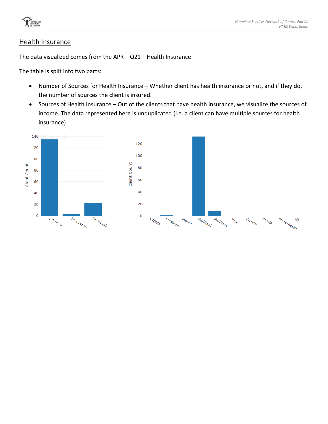

#### Health Insurance

The data visualized comes from the APR – Q21 – Health Insurance

The table is split into two parts:

- Number of Sources for Health Insurance Whether client has health insurance or not, and if they do, the number of sources the client is insured.
- Sources of Health Insurance Out of the clients that have health insurance, we visualize the sources of income. The data represented here is unduplicated (i.e. a client can have multiple sources for health insurance)

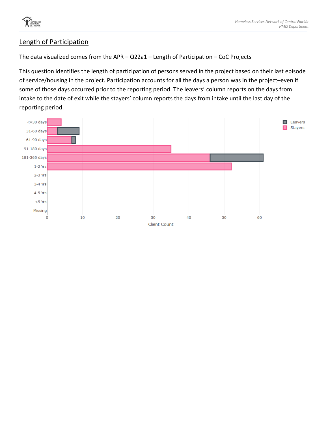

#### Length of Participation

The data visualized comes from the APR – Q22a1 – Length of Participation – CoC Projects

This question identifies the length of participation of persons served in the project based on their last episode of service/housing in the project. Participation accounts for all the days a person was in the project–even if some of those days occurred prior to the reporting period. The leavers' column reports on the days from intake to the date of exit while the stayers' column reports the days from intake until the last day of the reporting period.

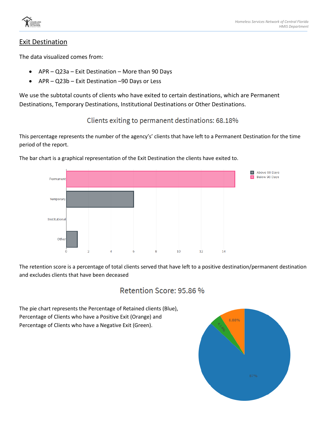

#### Exit Destination

The data visualized comes from:

- APR Q23a Exit Destination More than 90 Days
- APR Q23b Exit Destination –90 Days or Less

We use the subtotal counts of clients who have exited to certain destinations, which are Permanent Destinations, Temporary Destinations, Institutional Destinations or Other Destinations.

Clients exiting to permanent destinations: 68.18%

This percentage represents the number of the agency's' clients that have left to a Permanent Destination for the time period of the report.



The bar chart is a graphical representation of the Exit Destination the clients have exited to.

The retention score is a percentage of total clients served that have left to a positive destination/permanent destination and excludes clients that have been deceased

#### Retention Score: 95.86 %

The pie chart represents the Percentage of Retained clients (Blue), Percentage of Clients who have a Positive Exit (Orange) and Percentage of Clients who have a Negative Exit (Green).

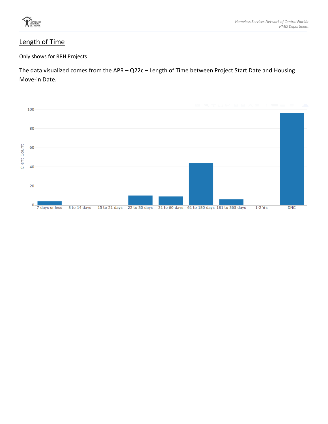

#### Length of Time

Only shows for RRH Projects

The data visualized comes from the APR – Q22c – Length of Time between Project Start Date and Housing Move-in Date.

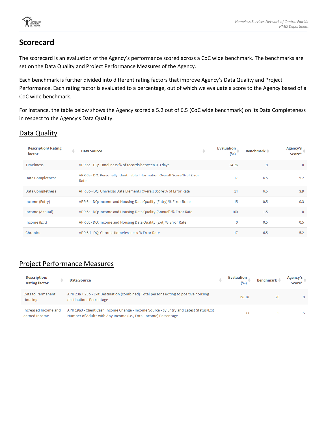

#### **Scorecard**

The scorecard is an evaluation of the Agency's performance scored across a CoC wide benchmark. The benchmarks are set on the Data Quality and Project Performance Measures of the Agency.

Each benchmark is further divided into different rating factors that improve Agency's Data Quality and Project Performance. Each rating factor is evaluated to a percentage, out of which we evaluate a score to the Agency based of a CoC wide benchmark.

For instance, the table below shows the Agency scored a 5.2 out of 6.5 (CoC wide benchmark) on its Data Completeness in respect to the Agency's Data Quality.

#### Data Quality

| <b>Description/Rating</b><br>factor | ô<br><b>Data Source</b>                                                           | ÷ | <b>Evaluation</b><br>(%) | Benchmark $\triangleq$ | Agency's<br>Score* |
|-------------------------------------|-----------------------------------------------------------------------------------|---|--------------------------|------------------------|--------------------|
| <b>Timeliness</b>                   | APR 6e - DQ: Timeliness % of records between 0-3 days                             |   | 24.26                    | 8                      | $\mathbf{0}$       |
| Data Completness                    | APR 6a - DQ: Personally Identifiable Information Overall Score % of Error<br>Rate |   | 17                       | 6.5                    | 5.2                |
| Data Completness                    | APR 6b - DQ: Universal Data Elements Overall Score % of Error Rate                |   | 14                       | 6.5                    | 3.9                |
| Income (Entry)                      | APR 6c - DQ: Income and Housing Data Quality (Entry) % Error Rrate                |   | 15                       | 0.5                    | 0.3                |
| Income (Annual)                     | APR 6c - DQ: Income and Housing Data Quality (Annual) % Error Rate                |   | 100                      | 1.5                    | $\mathbf{0}$       |
| Income (Exit)                       | APR 6c - DQ: Income and Housing Data Quality (Exit) % Error Rate                  |   | 0                        | 0.5                    | 0.5                |
| Chronics                            | APR 6d - DQ: Chronic Homelessness % Error Rate                                    |   | 17                       | 6.5                    | 5.2                |

#### Project Performance Measures

| Description/<br><b>Rating factor</b>  | Data Source                                                                                                                                                | ÷ | <b>Evaluation</b><br>(96) | Benchmark <sup>*</sup> | Agency's<br>Score* |
|---------------------------------------|------------------------------------------------------------------------------------------------------------------------------------------------------------|---|---------------------------|------------------------|--------------------|
| <b>Exits to Permanent</b><br>Housing  | APR 23a + 23b - Exit Destination (combined) Total persons exiting to positive housing<br>destinations Percentage                                           |   | 68.18                     | 20                     | 8                  |
| Increased Income and<br>earned Income | APR 19a3 - Client Cash Income Change - Income Source - by Entry and Latest Status/Exit<br>Number of Adults with Any Income (i.e., Total Income) Percentage |   | 33                        |                        |                    |